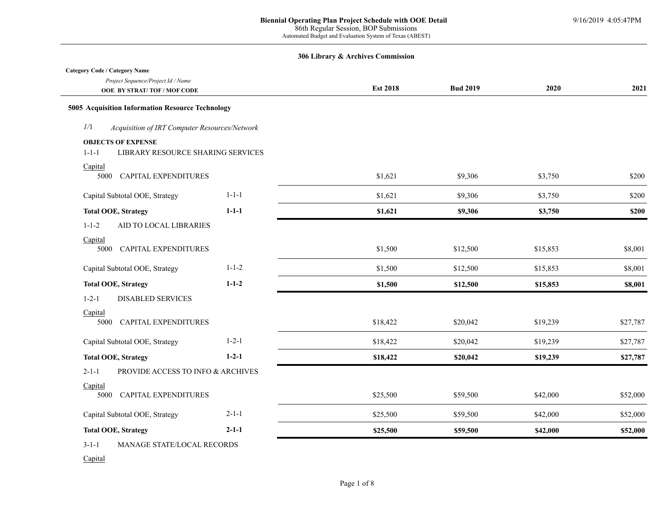| Project Sequence/Project Id / Name<br><b>OOE BY STRAT/TOF/MOF CODE</b>        |             | <b>Est 2018</b> | <b>Bud 2019</b> | 2020     | 2021     |
|-------------------------------------------------------------------------------|-------------|-----------------|-----------------|----------|----------|
| 5005 Acquisition Information Resource Technology                              |             |                 |                 |          |          |
| 1/1<br>Acquisition of IRT Computer Resources/Network                          |             |                 |                 |          |          |
| <b>OBJECTS OF EXPENSE</b><br>LIBRARY RESOURCE SHARING SERVICES<br>$1 - 1 - 1$ |             |                 |                 |          |          |
| Capital<br><b>CAPITAL EXPENDITURES</b><br>5000                                |             | \$1,621         | \$9,306         | \$3,750  | \$200    |
| Capital Subtotal OOE, Strategy                                                | $1 - 1 - 1$ | \$1,621         | \$9,306         | \$3,750  | \$200    |
| <b>Total OOE, Strategy</b>                                                    | $1 - 1 - 1$ | \$1,621         | \$9,306         | \$3,750  | \$200    |
| $1 - 1 - 2$<br>AID TO LOCAL LIBRARIES                                         |             |                 |                 |          |          |
| Capital<br>5000 CAPITAL EXPENDITURES                                          |             | \$1,500         | \$12,500        | \$15,853 | \$8,001  |
| Capital Subtotal OOE, Strategy                                                | $1 - 1 - 2$ | \$1,500         | \$12,500        | \$15,853 | \$8,001  |
| <b>Total OOE, Strategy</b>                                                    | $1 - 1 - 2$ | \$1,500         | \$12,500        | \$15,853 | \$8,001  |
| <b>DISABLED SERVICES</b><br>$1 - 2 - 1$                                       |             |                 |                 |          |          |
| Capital<br>CAPITAL EXPENDITURES<br>5000                                       |             | \$18,422        | \$20,042        | \$19,239 | \$27,787 |
| Capital Subtotal OOE, Strategy                                                | $1 - 2 - 1$ | \$18,422        | \$20,042        | \$19,239 | \$27,787 |
| <b>Total OOE, Strategy</b>                                                    | $1 - 2 - 1$ | \$18,422        | \$20,042        | \$19,239 | \$27,787 |
| $2 - 1 - 1$<br>PROVIDE ACCESS TO INFO & ARCHIVES                              |             |                 |                 |          |          |
| Capital<br>5000<br>CAPITAL EXPENDITURES                                       |             | \$25,500        | \$59,500        | \$42,000 | \$52,000 |
| Capital Subtotal OOE, Strategy                                                | $2 - 1 - 1$ | \$25,500        | \$59,500        | \$42,000 | \$52,000 |
| <b>Total OOE, Strategy</b>                                                    | $2 - 1 - 1$ | \$25,500        | \$59,500        | \$42,000 | \$52,000 |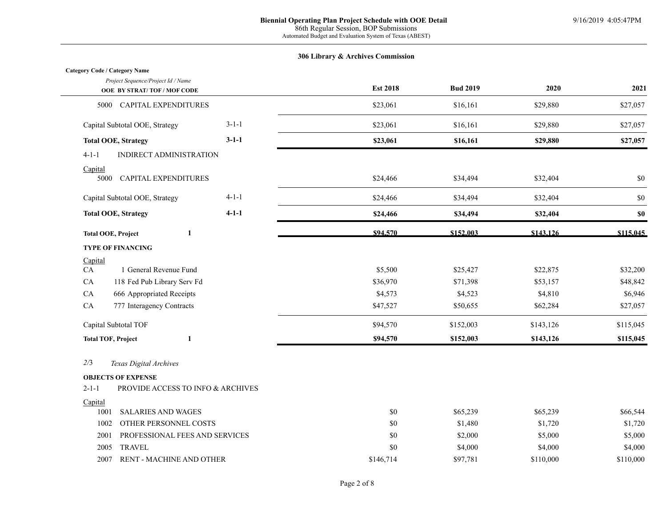| Project Sequence/Project Id / Name     |             | <b>Est 2018</b> | <b>Bud 2019</b> | 2020     | 2021     |
|----------------------------------------|-------------|-----------------|-----------------|----------|----------|
| <b>OOE BY STRAT/TOF/MOF CODE</b>       |             |                 |                 |          |          |
| <b>CAPITAL EXPENDITURES</b><br>5000    |             | \$23,061        | \$16,161        | \$29,880 | \$27,057 |
| Capital Subtotal OOE, Strategy         | $3 - 1 - 1$ | \$23,061        | \$16,161        | \$29,880 | \$27,057 |
| <b>Total OOE, Strategy</b>             | $3 - 1 - 1$ | \$23,061        | \$16,161        | \$29,880 | \$27,057 |
| INDIRECT ADMINISTRATION<br>$4 - 1 - 1$ |             |                 |                 |          |          |
| Capital                                |             |                 |                 |          |          |
| <b>CAPITAL EXPENDITURES</b><br>5000    |             | \$24,466        | \$34,494        | \$32,404 | \$0      |
| Capital Subtotal OOE, Strategy         | $4 - 1 - 1$ | \$24,466        | \$34,494        | \$32,404 | \$0      |
| <b>Total OOE, Strategy</b>             | $4 - 1 - 1$ | \$24,466        | \$34,494        | \$32,404 | \$0      |

| <b>TYPE OF FINANCING</b>                 |          |           |           |           |
|------------------------------------------|----------|-----------|-----------|-----------|
| Capital                                  |          |           |           |           |
| CA<br>l General Revenue Fund             | \$5,500  | \$25,427  | \$22,875  | \$32,200  |
| <b>CA</b><br>118 Fed Pub Library Serv Fd | \$36,970 | \$71,398  | \$53,157  | \$48,842  |
| <b>CA</b><br>666 Appropriated Receipts   | \$4,573  | \$4,523   | \$4,810   | \$6,946   |
| CA<br>777 Interagency Contracts          | \$47,527 | \$50,655  | \$62,284  | \$27,057  |
| Capital Subtotal TOF                     | \$94,570 | \$152,003 | \$143,126 | \$115,045 |
| <b>Total TOF, Project</b>                | \$94,570 | \$152,003 | \$143,126 | \$115,045 |

**Total OOE, Project 1 \$94,570 \$152,003 \$143,126 \$115,045** 

### *2/*3 *Texas Digital Archives*

#### **OBJECTS OF EXPENSE**

**Category Code / Category Name**

| 2-1-1<br><b>PROVIDE ACCESS TO INFO &amp; ARCHIVES</b> |
|-------------------------------------------------------|
|-------------------------------------------------------|

### **Capital**

| 100           | <b>SALARIES AND WAGES</b>      | \$0       | \$65,239 | \$65,239  | \$66,544  |
|---------------|--------------------------------|-----------|----------|-----------|-----------|
| 1002          | OTHER PERSONNEL COSTS          | \$0       | \$1,480  | \$1,720   | \$1,720   |
| $200^{\circ}$ | PROFESSIONAL FEES AND SERVICES | \$0       | \$2,000  | \$5,000   | \$5,000   |
| 2005          | TRAVEL                         | \$0       | \$4,000  | \$4,000   | \$4,000   |
| 2007          | RENT - MACHINE AND OTHER       | \$146,714 | \$97,781 | \$110,000 | \$110,000 |

**Est 2018 Bud 2019 2020 2021**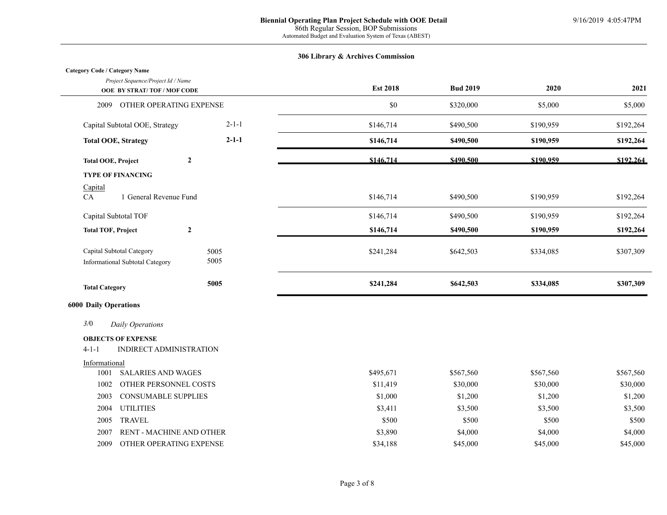$\overline{a}$ 

| <b>Category Code / Category Name</b>                               |              |                       |                       |                       |                       |
|--------------------------------------------------------------------|--------------|-----------------------|-----------------------|-----------------------|-----------------------|
| Project Sequence/Project Id / Name<br>OOE BY STRAT/TOF/MOF CODE    |              | <b>Est 2018</b>       | <b>Bud 2019</b>       | 2020                  | 2021                  |
| OTHER OPERATING EXPENSE<br>2009                                    |              | \$0                   | \$320,000             | \$5,000               | \$5,000               |
| Capital Subtotal OOE, Strategy                                     | $2 - 1 - 1$  | \$146,714             | \$490,500             | \$190,959             | \$192,264             |
| <b>Total OOE, Strategy</b>                                         | $2 - 1 - 1$  | \$146,714             | \$490,500             | \$190,959             | \$192,264             |
| $\boldsymbol{2}$<br><b>Total OOE, Project</b>                      |              | \$146,714             | \$490.500             | \$190.959             | \$192.264             |
| <b>TYPE OF FINANCING</b>                                           |              |                       |                       |                       |                       |
| Capital<br>CA<br>1 General Revenue Fund                            |              | \$146,714             | \$490,500             | \$190,959             | \$192,264             |
| Capital Subtotal TOF                                               |              | \$146,714             | \$490,500             | \$190,959             | \$192,264             |
| <b>Total TOF, Project</b><br>$\boldsymbol{2}$                      |              | \$146,714             | \$490,500             | \$190,959             | \$192,264             |
| Capital Subtotal Category<br>Informational Subtotal Category       | 5005<br>5005 | \$241,284             | \$642,503             | \$334,085             | \$307,309             |
| <b>Total Category</b>                                              | 5005         | \$241,284             | \$642,503             | \$334,085             | \$307,309             |
| <b>6000 Daily Operations</b>                                       |              |                       |                       |                       |                       |
| 3/0<br>Daily Operations                                            |              |                       |                       |                       |                       |
| <b>OBJECTS OF EXPENSE</b>                                          |              |                       |                       |                       |                       |
| $4 - 1 - 1$<br>INDIRECT ADMINISTRATION                             |              |                       |                       |                       |                       |
| Informational                                                      |              |                       |                       |                       |                       |
| <b>SALARIES AND WAGES</b><br>1001<br>1002<br>OTHER PERSONNEL COSTS |              | \$495,671<br>\$11,419 | \$567,560<br>\$30,000 | \$567,560<br>\$30,000 | \$567,560<br>\$30,000 |
| <b>CONSUMABLE SUPPLIES</b><br>2003                                 |              | \$1,000               | \$1,200               | \$1,200               | \$1,200               |
| <b>UTILITIES</b><br>2004                                           |              | \$3,411               | \$3,500               | \$3,500               | \$3,500               |
| <b>TRAVEL</b><br>2005                                              |              | \$500                 | \$500                 | \$500                 | \$500                 |
| 2007<br>RENT - MACHINE AND OTHER                                   |              | \$3,890               | \$4,000               | \$4,000               | \$4,000               |
| 2009<br>OTHER OPERATING EXPENSE                                    |              | \$34,188              | \$45,000              | \$45,000              | \$45,000              |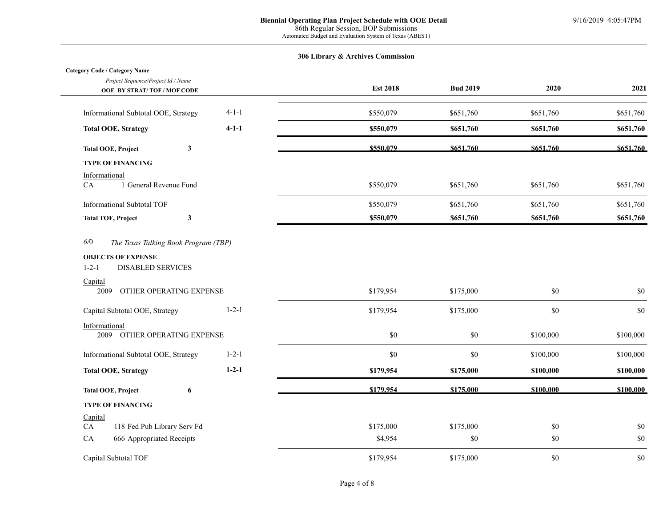L,

| <b>Category Code / Category Name</b>                                                                               |             |                      |                  |                |            |
|--------------------------------------------------------------------------------------------------------------------|-------------|----------------------|------------------|----------------|------------|
| Project Sequence/Project Id / Name                                                                                 |             | <b>Est 2018</b>      | <b>Bud 2019</b>  | 2020           | 2021       |
| OOE BY STRAT/TOF/MOF CODE                                                                                          |             |                      |                  |                |            |
| Informational Subtotal OOE, Strategy                                                                               | $4 - 1 - 1$ | \$550,079            | \$651,760        | \$651,760      | \$651,760  |
| <b>Total OOE, Strategy</b>                                                                                         | $4-1-1$     | \$550,079            | \$651,760        | \$651,760      | \$651,760  |
| $\mathbf{3}$<br><b>Total OOE, Project</b>                                                                          |             | \$550,079            | \$651.760        | \$651.760      | \$651.760  |
| <b>TYPE OF FINANCING</b>                                                                                           |             |                      |                  |                |            |
| Informational<br>${\rm CA}$<br>1 General Revenue Fund                                                              |             | \$550,079            | \$651,760        | \$651,760      | \$651,760  |
| <b>Informational Subtotal TOF</b>                                                                                  |             | \$550,079            | \$651,760        | \$651,760      | \$651,760  |
| $\mathbf{3}$<br><b>Total TOF, Project</b>                                                                          |             | \$550,079            | \$651,760        | \$651,760      | \$651,760  |
| <b>OBJECTS OF EXPENSE</b><br><b>DISABLED SERVICES</b><br>$1 - 2 - 1$<br>Capital<br>OTHER OPERATING EXPENSE<br>2009 |             | \$179,954            | \$175,000        | \$0            | $\$0$      |
| Capital Subtotal OOE, Strategy                                                                                     | $1 - 2 - 1$ | \$179,954            | \$175,000        | $\$0$          | \$0        |
| Informational<br>2009 OTHER OPERATING EXPENSE                                                                      |             | $\$0$                | \$0              | \$100,000      | \$100,000  |
| Informational Subtotal OOE, Strategy                                                                               | $1 - 2 - 1$ | \$0                  | \$0              | \$100,000      | \$100,000  |
| <b>Total OOE, Strategy</b>                                                                                         | $1 - 2 - 1$ | \$179,954            | \$175,000        | \$100,000      | \$100,000  |
| <b>Total OOE, Project</b><br>6                                                                                     |             | \$179,954            | \$175,000        | \$100,000      | \$100,000  |
| <b>TYPE OF FINANCING</b>                                                                                           |             |                      |                  |                |            |
| Capital                                                                                                            |             |                      |                  |                |            |
| 118 Fed Pub Library Serv Fd<br>CA<br>${\rm CA}$<br>666 Appropriated Receipts                                       |             | \$175,000<br>\$4,954 | \$175,000<br>\$0 | $\$0$<br>$\$0$ | \$0<br>\$0 |
|                                                                                                                    |             |                      |                  |                |            |
| Capital Subtotal TOF                                                                                               |             | \$179,954            | \$175,000        | \$0            | \$0        |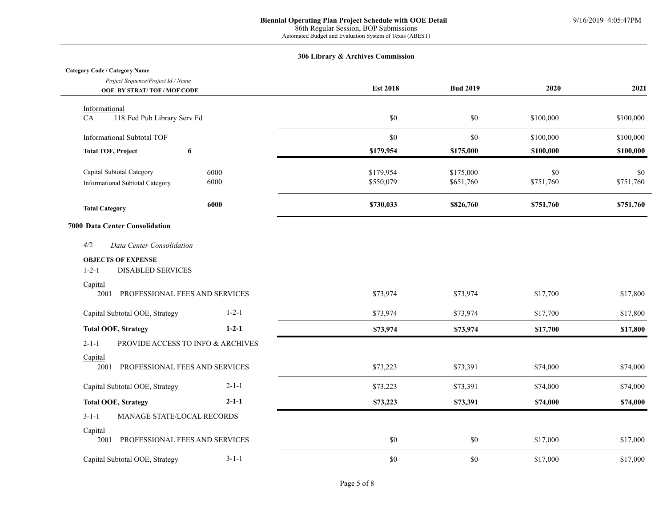# **Category Code / Category Name**

| Project Sequence/Project Id / Name<br><b>OOE BY STRAT/TOF/MOF CODE</b> |             | <b>Est 2018</b> | <b>Bud 2019</b> | 2020      | 2021      |
|------------------------------------------------------------------------|-------------|-----------------|-----------------|-----------|-----------|
| Informational                                                          |             |                 |                 |           |           |
| 118 Fed Pub Library Serv Fd<br>CA                                      |             | \$0             | \$0             | \$100,000 | \$100,000 |
| <b>Informational Subtotal TOF</b>                                      |             | $\$0$           | \$0             | \$100,000 | \$100,000 |
| 6<br><b>Total TOF, Project</b>                                         |             | \$179,954       | \$175,000       | \$100,000 | \$100,000 |
| Capital Subtotal Category                                              | 6000        | \$179,954       | \$175,000       | $\$0$     | \$0       |
| Informational Subtotal Category                                        | 6000        | \$550,079       | \$651,760       | \$751,760 | \$751,760 |
| <b>Total Category</b>                                                  | 6000        | \$730,033       | \$826,760       | \$751,760 | \$751,760 |
| 7000 Data Center Consolidation                                         |             |                 |                 |           |           |
| 4/2<br>Data Center Consolidation                                       |             |                 |                 |           |           |
| <b>OBJECTS OF EXPENSE</b><br>$1 - 2 - 1$<br><b>DISABLED SERVICES</b>   |             |                 |                 |           |           |
| Capital<br>PROFESSIONAL FEES AND SERVICES<br>2001                      |             | \$73,974        | \$73,974        | \$17,700  | \$17,800  |
| Capital Subtotal OOE, Strategy                                         | $1 - 2 - 1$ | \$73,974        | \$73,974        | \$17,700  | \$17,800  |
| <b>Total OOE, Strategy</b>                                             | $1 - 2 - 1$ | \$73,974        | \$73,974        | \$17,700  | \$17,800  |
| $2 - 1 - 1$<br>PROVIDE ACCESS TO INFO & ARCHIVES                       |             |                 |                 |           |           |
| Capital<br>PROFESSIONAL FEES AND SERVICES<br>2001                      |             | \$73,223        | \$73,391        | \$74,000  | \$74,000  |
| Capital Subtotal OOE, Strategy                                         | $2 - 1 - 1$ | \$73,223        | \$73,391        | \$74,000  | \$74,000  |
| <b>Total OOE, Strategy</b>                                             | $2 - 1 - 1$ | \$73,223        | \$73,391        | \$74,000  | \$74,000  |
| $3-1-1$<br>MANAGE STATE/LOCAL RECORDS                                  |             |                 |                 |           |           |
| Capital<br>PROFESSIONAL FEES AND SERVICES<br>2001                      |             | $\$0$           | \$0             | \$17,000  | \$17,000  |
| Capital Subtotal OOE, Strategy                                         | $3-1-1$     | \$0             | \$0             | \$17,000  | \$17,000  |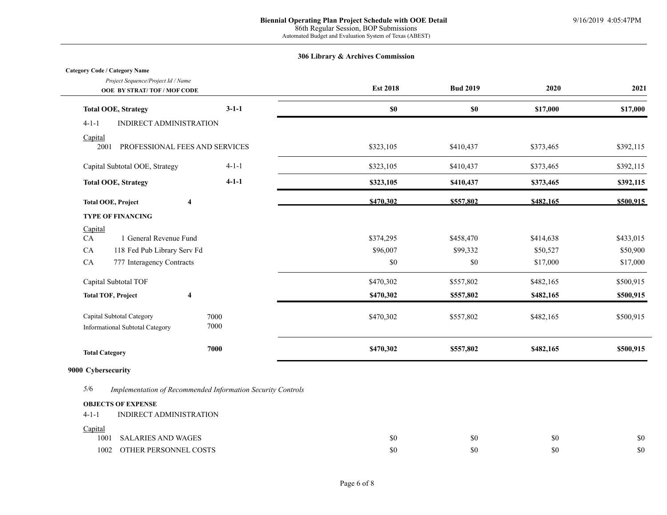### **Category Code / Category Name**

| ategory Code / Category Name<br>Project Sequence/Project Id / Name<br><b>OOE BY STRAT/TOF/MOF CODE</b> |             | <b>Est 2018</b> | <b>Bud 2019</b> | 2020      | 2021      |
|--------------------------------------------------------------------------------------------------------|-------------|-----------------|-----------------|-----------|-----------|
| <b>Total OOE, Strategy</b>                                                                             | $3-1-1$     | $\$0$           | \$0             | \$17,000  | \$17,000  |
| $4 - 1 - 1$<br>INDIRECT ADMINISTRATION                                                                 |             |                 |                 |           |           |
| Capital<br>2001<br>PROFESSIONAL FEES AND SERVICES                                                      |             | \$323,105       | \$410,437       | \$373,465 | \$392,115 |
| Capital Subtotal OOE, Strategy                                                                         | $4-1-1$     | \$323,105       | \$410,437       | \$373,465 | \$392,115 |
| <b>Total OOE, Strategy</b>                                                                             | $4 - 1 - 1$ | \$323,105       | \$410,437       | \$373,465 | \$392,115 |
| $\overline{\mathbf{4}}$<br><b>Total OOE, Project</b>                                                   |             | \$470,302       | \$557,802       | \$482,165 | \$500,915 |
| <b>TYPE OF FINANCING</b>                                                                               |             |                 |                 |           |           |
| Capital                                                                                                |             |                 |                 |           |           |
| 1 General Revenue Fund<br>CA                                                                           |             | \$374,295       | \$458,470       | \$414,638 | \$433,015 |
| CA<br>118 Fed Pub Library Serv Fd                                                                      |             | \$96,007        | \$99,332        | \$50,527  | \$50,900  |
| CA<br>777 Interagency Contracts                                                                        |             | \$0             | \$0             | \$17,000  | \$17,000  |
| Capital Subtotal TOF                                                                                   |             | \$470,302       | \$557,802       | \$482,165 | \$500,915 |
| <b>Total TOF, Project</b><br>$\overline{\mathbf{4}}$                                                   |             | \$470,302       | \$557,802       | \$482,165 | \$500,915 |
| Capital Subtotal Category                                                                              | 7000        | \$470,302       | \$557,802       | \$482,165 | \$500,915 |
| Informational Subtotal Category                                                                        | 7000        |                 |                 |           |           |
| <b>Total Category</b>                                                                                  | 7000        | \$470,302       | \$557,802       | \$482,165 | \$500,915 |
|                                                                                                        |             |                 |                 |           |           |

# **9000 Cybersecurity**

*5/*6 *Implementation of Recommended Information Security Controls*

### **OBJECTS OF EXPENSE**

| $4 - 1 - 1$ | INDIRECT ADMINISTRATION |     |     |     |     |
|-------------|-------------------------|-----|-----|-----|-----|
| Capital     |                         |     |     |     |     |
| 1001        | SALARIES AND WAGES      | \$0 | \$0 | \$0 | \$0 |
| 1002        | OTHER PERSONNEL COSTS   | \$0 | \$0 | \$0 | \$0 |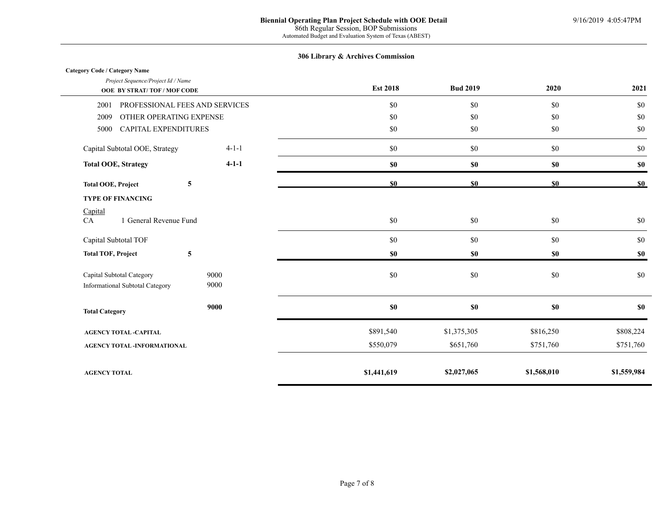| <b>Category Code / Category Name</b>                            |             |                 |                 |             |                |
|-----------------------------------------------------------------|-------------|-----------------|-----------------|-------------|----------------|
| Project Sequence/Project Id / Name<br>OOE BY STRAT/TOF/MOF CODE |             | <b>Est 2018</b> | <b>Bud 2019</b> | 2020        | 2021           |
| PROFESSIONAL FEES AND SERVICES<br>2001                          |             | \$0             | \$0             | $\$0$       | \$0            |
| OTHER OPERATING EXPENSE<br>2009                                 |             | \$0             | \$0             | $\$0$       | \$0            |
| <b>CAPITAL EXPENDITURES</b><br>5000                             |             | \$0             | $\$0$           | $\$0$       | $\$0$          |
| Capital Subtotal OOE, Strategy                                  | $4-1-1$     | \$0             | \$0             | $\$0$       | \$0            |
| <b>Total OOE, Strategy</b>                                      | $4 - 1 - 1$ | \$0             | \$0\$           | \$0         | \$0            |
| 5<br><b>Total OOE, Project</b>                                  |             | \$0             | \$0             | \$0         | S <sub>0</sub> |
| <b>TYPE OF FINANCING</b>                                        |             |                 |                 |             |                |
| Capital                                                         |             |                 |                 |             |                |
| 1 General Revenue Fund<br>CA                                    |             | $\$0$           | \$0             | $\$0$       | \$0            |
| Capital Subtotal TOF                                            |             | \$0             | \$0             | \$0         | \$0            |
| ${\bf 5}$<br><b>Total TOF, Project</b>                          |             | \$0             | \$0             | \$0         | \$0            |
| Capital Subtotal Category                                       | 9000        | \$0             | \$0             | $\$0$       | \$0            |
| Informational Subtotal Category                                 | 9000        |                 |                 |             |                |
| <b>Total Category</b>                                           | 9000        | \$0             | $\$0$           | $\${\bf 0}$ | \$0            |
| <b>AGENCY TOTAL -CAPITAL</b>                                    |             | \$891,540       | \$1,375,305     | \$816,250   | \$808,224      |
| <b>AGENCY TOTAL -INFORMATIONAL</b>                              |             | \$550,079       | \$651,760       | \$751,760   | \$751,760      |
|                                                                 |             |                 |                 |             |                |
| <b>AGENCY TOTAL</b>                                             |             | \$1,441,619     | \$2,027,065     | \$1,568,010 | \$1,559,984    |